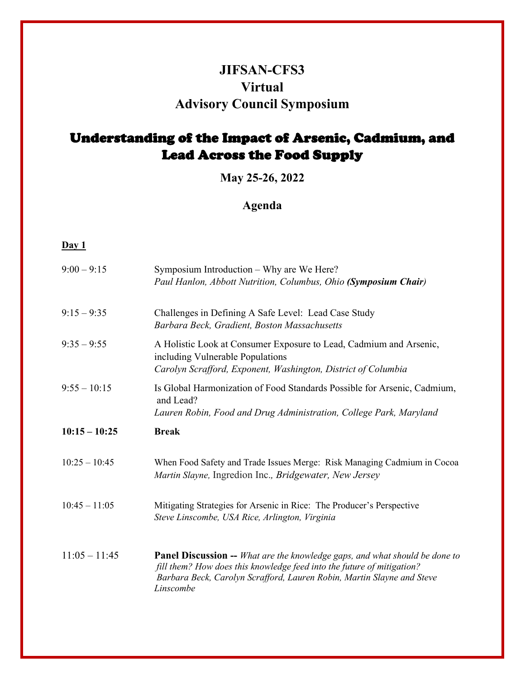## **JIFSAN-CFS3 Virtual Advisory Council Symposium**

## Understanding of the Impact of Arsenic, Cadmium, and Lead Across the Food Supply

**May 25-26, 2022**

## **Agenda**

## **Day 1**

| $9:00 - 9:15$   | Symposium Introduction - Why are We Here?<br>Paul Hanlon, Abbott Nutrition, Columbus, Ohio (Symposium Chair)                                                            |
|-----------------|-------------------------------------------------------------------------------------------------------------------------------------------------------------------------|
| $9:15 - 9:35$   | Challenges in Defining A Safe Level: Lead Case Study<br>Barbara Beck, Gradient, Boston Massachusetts                                                                    |
| $9:35 - 9:55$   | A Holistic Look at Consumer Exposure to Lead, Cadmium and Arsenic,<br>including Vulnerable Populations<br>Carolyn Scrafford, Exponent, Washington, District of Columbia |
| $9:55 - 10:15$  | Is Global Harmonization of Food Standards Possible for Arsenic, Cadmium,<br>and Lead?<br>Lauren Robin, Food and Drug Administration, College Park, Maryland             |
| $10:15 - 10:25$ | <b>Break</b>                                                                                                                                                            |
| $10:25 - 10:45$ | When Food Safety and Trade Issues Merge: Risk Managing Cadmium in Cocoa<br>Martin Slayne, Ingredion Inc., Bridgewater, New Jersey                                       |
| $10:45 - 11:05$ | Mitigating Strategies for Arsenic in Rice: The Producer's Perspective<br>Steve Linscombe, USA Rice, Arlington, Virginia                                                 |
|                 |                                                                                                                                                                         |